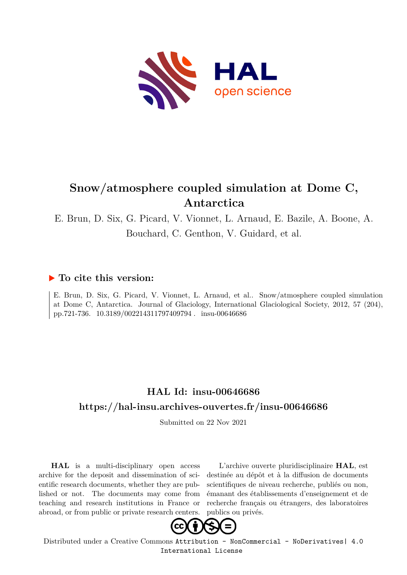

# **Snow/atmosphere coupled simulation at Dome C, Antarctica**

E. Brun, D. Six, G. Picard, V. Vionnet, L. Arnaud, E. Bazile, A. Boone, A. Bouchard, C. Genthon, V. Guidard, et al.

### **To cite this version:**

E. Brun, D. Six, G. Picard, V. Vionnet, L. Arnaud, et al.. Snow/atmosphere coupled simulation at Dome C, Antarctica. Journal of Glaciology, International Glaciological Society, 2012, 57 (204), pp.721-736.  $10.3189/002214311797409794$ . insu-00646686

### **HAL Id: insu-00646686 <https://hal-insu.archives-ouvertes.fr/insu-00646686>**

Submitted on 22 Nov 2021

**HAL** is a multi-disciplinary open access archive for the deposit and dissemination of scientific research documents, whether they are published or not. The documents may come from teaching and research institutions in France or abroad, or from public or private research centers.

L'archive ouverte pluridisciplinaire **HAL**, est destinée au dépôt et à la diffusion de documents scientifiques de niveau recherche, publiés ou non, émanant des établissements d'enseignement et de recherche français ou étrangers, des laboratoires publics ou privés.



Distributed under a Creative Commons [Attribution - NonCommercial - NoDerivatives| 4.0](http://creativecommons.org/licenses/by-nc-nd/4.0/) [International License](http://creativecommons.org/licenses/by-nc-nd/4.0/)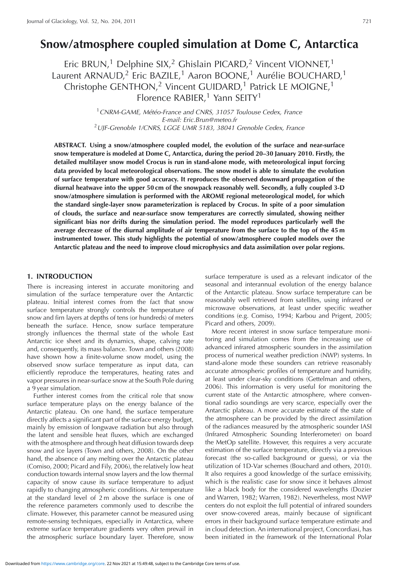## **Snow/atmosphere coupled simulation at Dome C, Antarctica**

Eric BRUN,<sup>1</sup> Delphine SIX,<sup>2</sup> Ghislain PICARD,<sup>2</sup> Vincent VIONNET,<sup>1</sup> Laurent ARNAUD,<sup>2</sup> Eric BAZILE,<sup>1</sup> Aaron BOONE,<sup>1</sup> Aurélie BOUCHARD,<sup>1</sup> Christophe GENTHON,<sup>2</sup> Vincent GUIDARD,<sup>1</sup> Patrick LE MOIGNE,<sup>1</sup> Florence RABIER,<sup>1</sup> Yann SEITY<sup>1</sup>

> $1$  CNRM-GAME, Météo-France and CNRS, 31057 Toulouse Cedex, France E-mail: Eric.Brun@meteo.fr  $2$  UJF-Grenoble 1/CNRS, LGGE UMR 5183, 38041 Grenoble Cedex, France

**ABSTRACT. Using a snow/atmosphere coupled model, the evolution of the surface and near-surface snow temperature is modeled at Dome C, Antarctica, during the period 20–30 January 2010. Firstly, the detailed multilayer snow model Crocus is run in stand-alone mode, with meteorological input forcing data provided by local meteorological observations. The snow model is able to simulate the evolution of surface temperature with good accuracy. It reproduces the observed downward propagation of the diurnal heatwave into the upper 50 cm of the snowpack reasonably well. Secondly, a fully coupled 3-D snow/atmosphere simulation is performed with the AROME regional meteorological model, for which the standard single-layer snow parameterization is replaced by Crocus. In spite of a poor simulation of clouds, the surface and near-surface snow temperatures are correctly simulated, showing neither significant bias nor drifts during the simulation period. The model reproduces particularly well the average decrease of the diurnal amplitude of air temperature from the surface to the top of the 45 m instrumented tower. This study highlights the potential of snow/atmosphere coupled models over the Antarctic plateau and the need to improve cloud microphysics and data assimilation over polar regions.**

#### **1. INTRODUCTION**

There is increasing interest in accurate monitoring and simulation of the surface temperature over the Antarctic plateau. Initial interest comes from the fact that snow surface temperature strongly controls the temperature of snow and firn layers at depths of tens (or hundreds) of meters beneath the surface. Hence, snow surface temperature strongly influences the thermal state of the whole East Antarctic ice sheet and its dynamics, shape, calving rate and, consequently, its mass balance. Town and others (2008) have shown how a finite-volume snow model, using the observed snow surface temperature as input data, can efficiently reproduce the temperatures, heating rates and vapor pressures in near-surface snow at the South Pole during a 9 year simulation.

Further interest comes from the critical role that snow surface temperature plays on the energy balance of the Antarctic plateau. On one hand, the surface temperature directly affects a significant part of the surface energy budget, mainly by emission of longwave radiation but also through the latent and sensible heat fluxes, which are exchanged with the atmosphere and through heat diffusion towards deep snow and ice layers (Town and others, 2008). On the other hand, the absence of any melting over the Antarctic plateau (Comiso, 2000; Picard and Fily, 2006), the relatively low heat conduction towards internal snow layers and the low thermal capacity of snow cause its surface temperature to adjust rapidly to changing atmospheric conditions. Air temperature at the standard level of 2 m above the surface is one of the reference parameters commonly used to describe the climate. However, this parameter cannot be measured using remote-sensing techniques, especially in Antarctica, where extreme surface temperature gradients very often prevail in the atmospheric surface boundary layer. Therefore, snow

surface temperature is used as a relevant indicator of the seasonal and interannual evolution of the energy balance of the Antarctic plateau. Snow surface temperature can be reasonably well retrieved from satellites, using infrared or microwave observations, at least under specific weather conditions (e.g. Comiso, 1994; Karbou and Prigent, 2005; Picard and others, 2009).

More recent interest in snow surface temperature monitoring and simulation comes from the increasing use of advanced infrared atmospheric sounders in the assimilation process of numerical weather prediction (NWP) systems. In stand-alone mode these sounders can retrieve reasonably accurate atmospheric profiles of temperature and humidity, at least under clear-sky conditions (Gettelman and others, 2006). This information is very useful for monitoring the current state of the Antarctic atmosphere, where conventional radio soundings are very scarce, especially over the Antarctic plateau. A more accurate estimate of the state of the atmosphere can be provided by the direct assimilation of the radiances measured by the atmospheric sounder IASI (Infrared Atmospheric Sounding Interferometer) on board the MetOp satellite. However, this requires a very accurate estimation of the surface temperature, directly via a previous forecast (the so-called background or guess), or via the utilization of 1D-Var schemes (Bouchard and others, 2010). It also requires a good knowledge of the surface emissivity, which is the realistic case for snow since it behaves almost like a black body for the considered wavelengths (Dozier and Warren, 1982; Warren, 1982). Nevertheless, most NWP centers do not exploit the full potential of infrared sounders over snow-covered areas, mainly because of significant errors in their background surface temperature estimate and in cloud detection. An international project, Concordiasi, has been initiated in the framework of the International Polar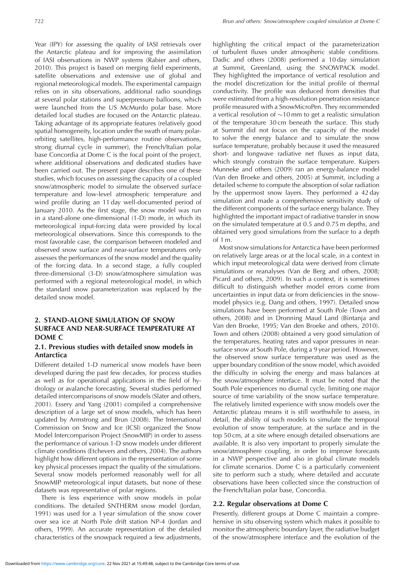Year (IPY) for assessing the quality of IASI retrievals over the Antarctic plateau and for improving the assimilation of IASI observations in NWP systems (Rabier and others, 2010). This project is based on merging field experiments, satellite observations and extensive use of global and regional meteorological models. The experimental campaign relies on in situ observations, additional radio soundings at several polar stations and superpressure balloons, which were launched from the US McMurdo polar base. More detailed local studies are focused on the Antarctic plateau. Taking advantage of its appropriate features (relatively good spatial homogeneity, location under the swath of many polarorbiting satellites, high-performance routine observations, strong diurnal cycle in summer), the French/Italian polar base Concordia at Dome C is the focal point of the project, where additional observations and dedicated studies have been carried out. The present paper describes one of these studies, which focuses on assessing the capacity of a coupled snow/atmospheric model to simulate the observed surface temperature and low-level atmospheric temperature and wind profile during an 11 day well-documented period of January 2010. As the first stage, the snow model was run in a stand-alone one-dimensional (1-D) mode, in which its meteorological input-forcing data were provided by local meteorological observations. Since this corresponds to the most favorable case, the comparison between modeled and observed snow surface and near-surface temperatures only assesses the performances of the snow model and the quality of the forcing data. In a second stage, a fully coupled three-dimensional (3-D) snow/atmosphere simulation was performed with a regional meteorological model, in which the standard snow parameterization was replaced by the detailed snow model.

#### **2. STAND-ALONE SIMULATION OF SNOW SURFACE AND NEAR-SURFACE TEMPERATURE AT DOME C**

#### **2.1. Previous studies with detailed snow models in Antarctica**

Different detailed 1-D numerical snow models have been developed during the past few decades, for process studies as well as for operational applications in the field of hydrology or avalanche forecasting. Several studies performed detailed intercomparisons of snow models (Slater and others, 2001). Essery and Yang (2001) compiled a comprehensive description of a large set of snow models, which has been updated by Armstrong and Brun (2008). The International Commission on Snow and Ice (ICSI) organized the Snow Model Intercomparison Project (SnowMIP) in order to assess the performance of various 1-D snow models under different climate conditions (Etchevers and others, 2004). The authors highlight how different options in the representation of some key physical processes impact the quality of the simulations. Several snow models performed reasonably well for all SnowMIP meteorological input datasets, but none of these datasets was representative of polar regions.

There is less experience with snow models in polar conditions. The detailed SNTHERM snow model (Jordan, 1991) was used for a 1 year simulation of the snow cover over sea ice at North Pole drift station NP-4 (Jordan and others, 1999). An accurate representation of the detailed characteristics of the snowpack required a few adjustments,

highlighting the critical impact of the parameterization of turbulent fluxes under atmospheric stable conditions. Dadic and others (2008) performed a 10 day simulation at Summit, Greenland, using the SNOWPACK model. They highlighted the importance of vertical resolution and the model discretization for the initial profile of thermal conductivity. The profile was deduced from densities that were estimated from a high-resolution penetration resistance profile measured with a SnowMicroPen. They recommended a vertical resolution of ∼10 mm to get a realistic simulation of the temperature 30 cm beneath the surface. This study at Summit did not focus on the capacity of the model to solve the energy balance and to simulate the snow surface temperature, probably because it used the measured short- and longwave radiative net fluxes as input data, which strongly constrain the surface temperature. Kuipers Munneke and others (2009) ran an energy-balance model (Van den Broeke and others, 2005) at Summit, including a detailed scheme to compute the absorption of solar radiation by the uppermost snow layers. They performed a 42 day simulation and made a comprehensive sensitivity study of the different components of the surface energy balance. They highlighted the important impact of radiative transfer in snow on the simulated temperature at 0.5 and 0.75 m depths, and obtained very good simulations from the surface to a depth of 1 $m$ .

Most snow simulations for Antarctica have been performed on relatively large areas or at the local scale, in a context in which input meteorological data were derived from climate simulations or reanalyses (Van de Berg and others, 2008; Picard and others, 2009). In such a context, it is sometimes difficult to distinguish whether model errors come from uncertainties in input data or from deficiencies in the snowmodel physics (e.g. Dang and others, 1997). Detailed snow simulations have been performed at South Pole (Town and others, 2008) and in Dronning Maud Land (Bintanja and Van den Broeke, 1995; Van den Broeke and others, 2010). Town and others (2008) obtained a very good simulation of the temperatures, heating rates and vapor pressures in nearsurface snow at South Pole, during a 9 year period. However, the observed snow surface temperature was used as the upper boundary condition of the snow model, which avoided the difficulty in solving the energy and mass balances at the snow/atmosphere interface. It must be noted that the South Pole experiences no diurnal cycle, limiting one major source of time variability of the snow surface temperature. The relatively limited experience with snow models over the Antarctic plateau means it is still worthwhile to assess, in detail, the ability of such models to simulate the temporal evolution of snow temperature, at the surface and in the top 50 cm, at a site where enough detailed observations are available. It is also very important to properly simulate the snow/atmosphere coupling, in order to improve forecasts in a NWP perspective and also in global climate models for climate scenarios. Dome C is a particularly convenient site to perform such a study, where detailed and accurate observations have been collected since the construction of the French/Italian polar base, Concordia.

#### **2.2. Regular observations at Dome C**

Presently, different groups at Dome C maintain a comprehensive in situ observing system which makes it possible to monitor the atmospheric boundary layer, the radiative budget of the snow/atmosphere interface and the evolution of the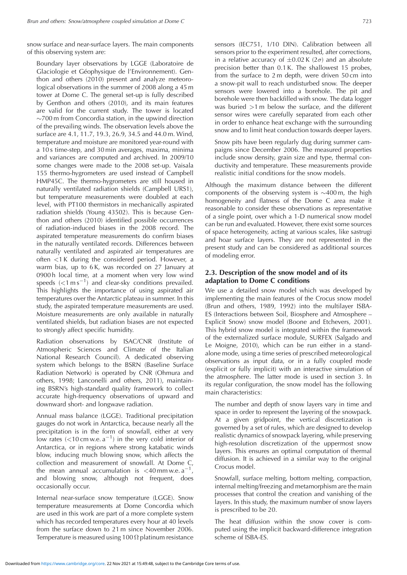snow surface and near-surface layers. The main components of this observing system are:

Boundary layer observations by LGGE (Laboratoire de Glaciologie et Géophysique de l'Environnement). Genthon and others (2010) present and analyze meteorological observations in the summer of 2008 along a 45 m tower at Dome C. The general set-up is fully described by Genthon and others (2010), and its main features are valid for the current study. The tower is located ∼700 m from Concordia station, in the upwind direction of the prevailing winds. The observation levels above the surface are 4.1, 11.7, 19.3, 26.9, 34.5 and 44.0 m. Wind, temperature and moisture are monitored year-round with a 10 s time-step, and 30 min averages, maxima, minima and variances are computed and archived. In 2009/10 some changes were made to the 2008 set-up. Vaisala 155 thermo-hygrometers are used instead of Campbell HMP45C. The thermo-hygrometers are still housed in naturally ventilated radiation shields (Campbell URS1), but temperature measurements were doubled at each level, with PT100 thermistors in mechanically aspirated radiation shields (Young 43502). This is because Genthon and others (2010) identified possible occurrences of radiation-induced biases in the 2008 record. The aspirated temperature measurements do confirm biases in the naturally ventilated records. Differences between naturally ventilated and aspirated air temperatures are often <1 K during the considered period. However, a warm bias, up to 6 K, was recorded on 27 January at 0900 h local time, at a moment when very low wind speeds  $(<1 \text{ m s}^{-1})$  and clear-sky conditions prevailed. This highlights the importance of using aspirated air temperatures over the Antarctic plateau in summer. In this study, the aspirated temperature measurements are used. Moisture measurements are only available in naturally ventilated shields, but radiation biases are not expected to strongly affect specific humidity.

Radiation observations by ISAC/CNR (Institute of Atmospheric Sciences and Climate of the Italian National Research Council). A dedicated observing system which belongs to the BSRN (Baseline Surface Radiation Network) is operated by CNR (Ohmura and others, 1998; Lanconelli and others, 2011), maintaining BSRN's high-standard quality framework to collect accurate high-frequency observations of upward and downward short- and longwave radiation.

Annual mass balance (LGGE). Traditional precipitation gauges do not work in Antarctica, because nearly all the precipitation is in the form of snowfall, either at very low rates (<10 cm w.e.  $a^{-1}$ ) in the very cold interior of Antarctica, or in regions where strong katabatic winds blow, inducing much blowing snow, which affects the collection and measurement of snowfall. At Dome C, the mean annual accumulation is  $\lt$ 40 mm w.e.  $a^{-1}$ , and blowing snow, although not frequent, does occasionally occur.

Internal near-surface snow temperature (LGGE). Snow temperature measurements at Dome Concordia which are used in this work are part of a more complete system which has recorded temperatures every hour at 40 levels from the surface down to 21 m since November 2006. Temperature is measured using 100  $\Omega$  platinum resistance

sensors (IEC751, 1/10 DIN). Calibration between all sensors prior to the experiment resulted, after corrections, in a relative accuracy of  $\pm 0.02$  K ( $2\sigma$ ) and an absolute precision better than 0.1 K. The shallowest 15 probes, from the surface to 2 m depth, were driven 50 cm into a snow-pit wall to reach undisturbed snow. The deeper sensors were lowered into a borehole. The pit and borehole were then backfilled with snow. The data logger was buried  $>1$  m below the surface, and the different sensor wires were carefully separated from each other in order to enhance heat exchange with the surrounding snow and to limit heat conduction towards deeper layers.

Snow pits have been regularly dug during summer campaigns since December 2006. The measured properties include snow density, grain size and type, thermal conductivity and temperature. These measurements provide realistic initial conditions for the snow models.

Although the maximum distance between the different components of the observing system is ∼400 m, the high homogeneity and flatness of the Dome C area make it reasonable to consider these observations as representative of a single point, over which a 1-D numerical snow model can be run and evaluated. However, there exist some sources of space heterogeneity, acting at various scales, like sastrugi and hoar surface layers. They are not represented in the present study and can be considered as additional sources of modeling error.

#### **2.3. Description of the snow model and of its adaptation to Dome C conditions**

We use a detailed snow model which was developed by implementing the main features of the Crocus snow model (Brun and others, 1989, 1992) into the multilayer ISBA-ES (Interactions between Soil, Biosphere and Atmosphere – Explicit Snow) snow model (Boone and Etchevers, 2001). This hybrid snow model is integrated within the framework of the externalized surface module, SURFEX (Salgado and Le Moigne, 2010), which can be run either in a standalone mode, using a time series of prescribed meteorological observations as input data, or in a fully coupled mode (explicit or fully implicit) with an interactive simulation of the atmosphere. The latter mode is used in section 3. In its regular configuration, the snow model has the following main characteristics:

The number and depth of snow layers vary in time and space in order to represent the layering of the snowpack. At a given gridpoint, the vertical discretization is governed by a set of rules, which are designed to develop realistic dynamics of snowpack layering, while preserving high-resolution discretization of the uppermost snow layers. This ensures an optimal computation of thermal diffusion. It is achieved in a similar way to the original Crocus model.

Snowfall, surface melting, bottom melting, compaction, internal melting/freezing and metamorphism are the main processes that control the creation and vanishing of the layers. In this study, the maximum number of snow layers is prescribed to be 20.

The heat diffusion within the snow cover is computed using the implicit backward-difference integration scheme of ISBA-ES.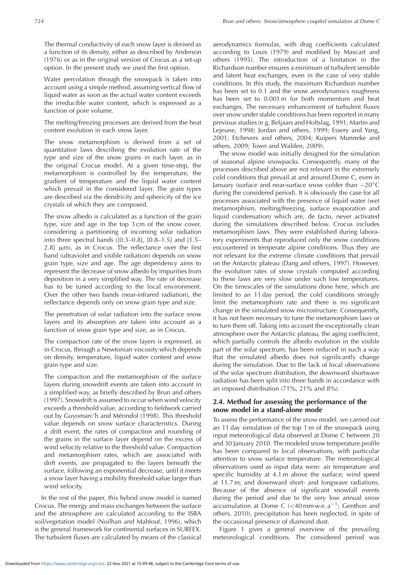The thermal conductivity of each snow layer is derived as a function of its density, either as described by Anderson (1976) or as in the original version of Crocus as a set-up option. In the present study we used the first option.

Water percolation through the snowpack is taken into account using a simple method, assuming vertical flow of liquid water as soon as the actual water content exceeds the irreducible water content, which is expressed as a function of pore volume.

The melting/freezing processes are derived from the heat content evolution in each snow layer.

The snow metamorphism is derived from a set of quantitative laws describing the evolution rate of the type and size of the snow grains in each layer, as in the original Crocus model. At a given time-step, the metamorphism is controlled by the temperature, the gradient of temperature and the liquid water content which prevail in the considered layer. The grain types are described via the dendricity and sphericity of the ice crystals of which they are composed.

The snow albedo is calculated as a function of the grain type, size and age in the top 3 cm of the snow cover, considering a partitioning of incoming solar radiation into three spectral bands ([0.3–0.8], [0.8–1.5] and [1.5– 2.8]  $μm$ ), as in Crocus. The reflectance over the first band (ultraviolet and visible radiation) depends on snow grain type, size and age. The age dependency aims to represent the decrease of snow albedo by impurities from deposition in a very simplified way. The rate of decrease has to be tuned according to the local environment. Over the other two bands (near-infrared radiation), the reflectance depends only on snow grain type and size.

The penetration of solar radiation into the surface snow layers and its absorption are taken into account as a function of snow grain type and size, as in Crocus.

The compaction rate of the snow layers is expressed, as in Crocus, through a Newtonian viscosity which depends on density, temperature, liquid water content and snow grain type and size.

The compaction and the metamorphism of the surface layers during snowdrift events are taken into account in a simplified way, as briefly described by Brun and others (1997). Snowdrift is assumed to occur when wind velocity exceeds a threshold value, according to fieldwork carried out by Guyomarc'h and Mérindol (1998). This threshold value depends on snow surface characteristics. During a drift event, the rates of compaction and rounding of the grains in the surface layer depend on the excess of wind velocity relative to the threshold value. Compaction and metamorphism rates, which are associated with drift events, are propagated to the layers beneath the surface, following an exponential decrease, until it meets a snow layer having a mobility threshold value larger than wind velocity.

In the rest of the paper, this hybrid snow model is named Crocus. The energy and mass exchanges between the surface and the atmosphere are calculated according to the ISBA soil/vegetation model (Noilhan and Mahfouf, 1996), which is the general framework for continental surfaces in SURFEX. The turbulent fluxes are calculated by means of the classical

aerodynamics formulas, with drag coefficients calculated according to Louis (1979) and modified by Mascart and others (1995). The introduction of a limitation in the Richardson number ensures a minimum of turbulent sensible and latent heat exchanges, even in the case of very stable conditions. In this study, the maximum Richardson number has been set to 0.1 and the snow aerodynamics roughness has been set to 0.001 m for both momentum and heat exchanges. The necessary enhancement of turbulent fluxes over snow under stable conditions has been reported in many previous studies (e.g. Beljaars and Holtslag, 1991; Martin and Lejeune, 1998; Jordan and others, 1999; Essery and Yang, 2001; Etchevers and others, 2004; Kuipers Munneke and others, 2009; Town and Walden, 2009).

The snow model was initially designed for the simulation of seasonal alpine snowpacks. Consequently, many of the processes described above are not relevant in the extremely cold conditions that prevail at and around Dome C, even in January (surface and near-surface snow colder than −20◦C during the considered period). It is obviously the case for all processes associated with the presence of liquid water (wet metamorphism, melting/freezing, surface evaporation and liquid condensation) which are, de facto, never activated during the simulations described below. Crocus includes metamorphism laws. They were established during laboratory experiments that reproduced only the snow conditions encountered in temperate alpine conditions. Thus they are not relevant for the extreme climate conditions that prevail on the Antarctic plateau (Dang and others, 1997). However, the evolution rates of snow crystals computed according to these laws are very slow under such low temperatures. On the timescales of the simulations done here, which are limited to an 11 day period, the cold conditions strongly limit the metamorphism rate and there is no significant change in the simulated snow microstructure. Consequently, it has not been necessary to tune the metamorphism laws or to turn them off. Taking into account the exceptionally clean atmosphere over the Antarctic plateau, the aging coefficient, which partially controls the albedo evolution in the visible part of the solar spectrum, has been reduced in such a way that the simulated albedo does not significantly change during the simulation. Due to the lack of local observations of the solar spectrum distribution, the downward shortwave radiation has been split into three bands in accordance with an imposed distribution (71%, 21% and 8%).

#### **2.4. Method for assessing the performance of the snow model in a stand-alone mode**

To assess the performance of the snow model, we carried out an 11 day simulation of the top 1 m of the snowpack using input meteorological data observed at Dome C between 20 and 30 January 2010. The modeled snow temperature profile has been compared to local observations, with particular attention to snow surface temperature. The meteorological observations used as input data were: air temperature and specific humidity at 4.1 m above the surface; wind speed at 11.7 m; and downward short- and longwave radiations. Because of the absence of significant snowfall events during the period and due to the very low annual snow accumulation at Dome C (<40 mm w.e.  $a^{-1}$ ; Genthon and others, 2010), precipitation has been neglected, in spite of the occasional presence of diamond dust.

Figure 1 gives a general overview of the prevailing meteorological conditions. The considered period was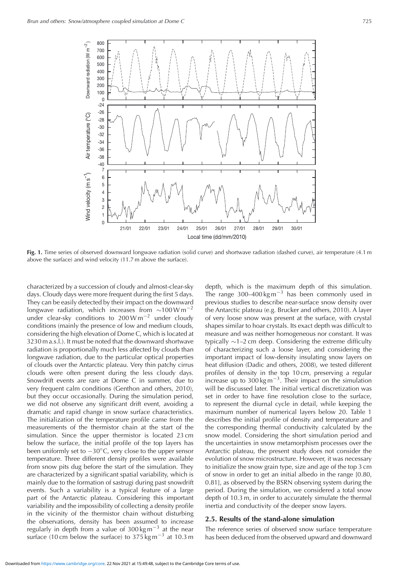

**Fig. 1.** Time series of observed downward longwave radiation (solid curve) and shortwave radiation (dashed curve), air temperature (4.1 m above the surface) and wind velocity (11.7 m above the surface).

characterized by a succession of cloudy and almost-clear-sky days. Cloudy days were more frequent during the first 5 days. They can be easily detected by their impact on the downward longwave radiation, which increases from  $\sim$ 100W m<sup>-2</sup> under clear-sky conditions to 200 W m<sup>-2</sup> under cloudy conditions (mainly the presence of low and medium clouds, considering the high elevation of Dome C, which is located at 3230 m a.s.l.). It must be noted that the downward shortwave radiation is proportionally much less affected by clouds than longwave radiation, due to the particular optical properties of clouds over the Antarctic plateau. Very thin patchy cirrus clouds were often present during the less cloudy days. Snowdrift events are rare at Dome C in summer, due to very frequent calm conditions (Genthon and others, 2010), but they occur occasionally. During the simulation period, we did not observe any significant drift event, avoiding a dramatic and rapid change in snow surface characteristics. The initialization of the temperature profile came from the measurements of the thermistor chain at the start of the simulation. Since the upper thermistor is located 23 cm below the surface, the initial profile of the top layers has been uniformly set to −30◦C, very close to the upper sensor temperature. Three different density profiles were available from snow pits dug before the start of the simulation. They are characterized by a significant spatial variability, which is mainly due to the formation of sastrugi during past snowdrift events. Such a variability is a typical feature of a large part of the Antarctic plateau. Considering this important variability and the impossibility of collecting a density profile in the vicinity of the thermistor chain without disturbing the observations, density has been assumed to increase regularly in depth from a value of  $300 \text{ kg m}^{-3}$  at the near surface (10 cm below the surface) to  $375 \text{ kg m}^{-3}$  at 10.3 m

depth, which is the maximum depth of this simulation. The range 300–400 kg m<sup>-3</sup> has been commonly used in previous studies to describe near-surface snow density over the Antarctic plateau (e.g. Brucker and others, 2010). A layer of very loose snow was present at the surface, with crystal shapes similar to hoar crystals. Its exact depth was difficult to measure and was neither homogeneous nor constant. It was typically ∼1–2 cm deep. Considering the extreme difficulty of characterizing such a loose layer, and considering the important impact of low-density insulating snow layers on heat diffusion (Dadic and others, 2008), we tested different profiles of density in the top 10 cm, preserving a regular increase up to  $300 \text{ kg m}^{-3}$ . Their impact on the simulation will be discussed later. The initial vertical discretization was set in order to have fine resolution close to the surface, to represent the diurnal cycle in detail, while keeping the maximum number of numerical layers below 20. Table 1 describes the initial profile of density and temperature and the corresponding thermal conductivity calculated by the snow model. Considering the short simulation period and the uncertainties in snow metamorphism processes over the Antarctic plateau, the present study does not consider the evolution of snow microstructure. However, it was necessary to initialize the snow grain type, size and age of the top 3 cm of snow in order to get an initial albedo in the range [0.80, 0.81], as observed by the BSRN observing system during the period. During the simulation, we considered a total snow depth of 10.3 m, in order to accurately simulate the thermal inertia and conductivity of the deeper snow layers.

#### **2.5. Results of the stand-alone simulation**

The reference series of observed snow surface temperature has been deduced from the observed upward and downward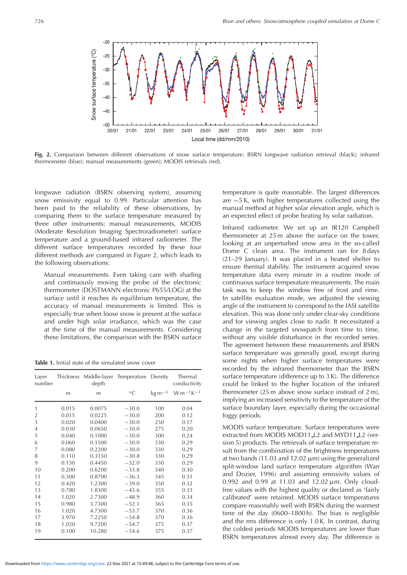

**Fig. 2.** Comparison between different observations of snow surface temperature: BSRN longwave radiation retrieval (black); infrared thermometer (blue); manual measurements (green); MODIS retrievals (red).

longwave radiation (BSRN observing system), assuming snow emissivity equal to 0.99. Particular attention has been paid to the reliability of these observations, by comparing them to the surface temperature measured by three other instruments: manual measurements, MODIS (Moderate Resolution Imaging Spectroradiometer) surface temperature and a ground-based infrared radiometer. The different surface temperatures recorded by these four different methods are compared in Figure 2, which leads to the following observations:

Manual measurements. Even taking care with shading and continuously moving the probe of the electronic thermometer (DOSTMANN electronic P655/LOG) at the surface until it reaches its equilibrium temperature, the accuracy of manual measurements is limited. This is especially true when loose snow is present at the surface and under high solar irradiance, which was the case at the time of the manual measurements. Considering these limitations, the comparison with the BSRN surface

**Table 1.** Initial state of the simulated snow cover

| Layer<br>number | Thickness | Middle-layer<br>depth | Temperature | Density            | Thermal<br>conductivity |
|-----------------|-----------|-----------------------|-------------|--------------------|-------------------------|
|                 | m         | m                     | $\circ$ C   | $\text{kg m}^{-3}$ | $Wm^{-1}K^{-1}$         |
| 1               | 0.015     | 0.0075                | $-30.0$     | 100                | 0.04                    |
| $\overline{2}$  | 0.015     | 0.0225                | $-30.0$     | 200                | 0.12                    |
| 3               | 0.020     | 0.0400                | $-30.0$     | 250                | 0.17                    |
| $\overline{4}$  | 0.030     | 0.0650                | $-30.0$     | 275                | 0.20                    |
| 5               | 0.040     | 0.1000                | $-30.0$     | 300                | 0.24                    |
| 6               | 0.060     | 0.1500                | $-30.0$     | 330                | 0.29                    |
| 7               | 0.080     | 0.2200                | $-30.0$     | 330                | 0.29                    |
| 8               | 0.110     | 0.3150                | $-30.8$     | 330                | 0.29                    |
| 9               | 0.150     | 0.4450                | $-32.0$     | 330                | 0.29                    |
| 10              | 0.200     | 0.6200                | $-33.8$     | 340                | 0.30                    |
| 11              | 0.300     | 0.8700                | $-36.3$     | 345                | 0.31                    |
| 12              | 0.420     | 1.2300                | $-39.0$     | 350                | 0.32                    |
| 13              | 0.780     | 1.8300                | $-43.6$     | 355                | 0.33                    |
| 14              | 1.020     | 2.7300                | $-48.9$     | 360                | 0.34                    |
| 15              | 0.980     | 3.7300                | $-52.1$     | 365                | 0.35                    |
| 16              | 1.020     | 4.7300                | $-53.7$     | 370                | 0.36                    |
| 17              | 3.970     | 7.2250                | $-54.8$     | 370                | 0.36                    |
| 18              | 1.020     | 9.7200                | $-54.7$     | 375                | 0.37                    |
| 19              | 0.100     | 10.280                | $-54.6$     | 375                | 0.37                    |

temperature is quite reasonable. The largest differences are ∼5 K, with higher temperatures collected using the manual method at higher solar elevation angle, which is an expected effect of probe heating by solar radiation.

Infrared radiometer. We set up an IR120 Campbell thermometer at 25 m above the surface on the tower, looking at an unperturbed snow area in the so-called Dome C clean area. The instrument ran for 8 days (21–29 January). It was placed in a heated shelter to ensure thermal stability. The instrument acquired snow temperature data every minute in a routine mode of continuous surface temperature measurements. The main task was to keep the window free of frost and rime. In satellite evaluation mode, we adjusted the viewing angle of the instrument to correspond to the IASI satellite elevation. This was done only under clear-sky conditions and for viewing angles close to nadir. It necessitated a change in the targeted snowpatch from time to time, without any visible disturbance in the recorded series. The agreement between these measurements and BSRN surface temperature was generally good, except during some nights when higher surface temperatures were recorded by the infrared thermometer than the BSRN surface temperature (difference up to 3 K). The difference could be linked to the higher location of the infrared thermometer (25 m above snow surface instead of 2 m), implying an increased sensitivity to the temperature of the surface boundary layer, especially during the occasional foggy periods.

MODIS surface temperature. Surface temperatures were extracted from MODIS MOD11 L2 and MYD11 L2 (version 5) products. The retrievals of surface temperature result from the combination of the brightness temperatures at two bands (11.03 and 12.02 μm) using the generalized split-window land surface temperature algorithm (Wan and Dozier, 1996) and assuming emissivity values of 0.992 and 0.99 at 11.03 and 12.02 μm. Only cloudfree values with the highest quality or declared as 'fairly calibrated' were retained. MODIS surface temperatures compare reasonably well with BSRN during the warmest time of the day (0600–1800 h). The bias is negligible and the rms difference is only 1.0 K. In contrast, during the coldest periods MODIS temperatures are lower than BSRN temperatures almost every day. The difference is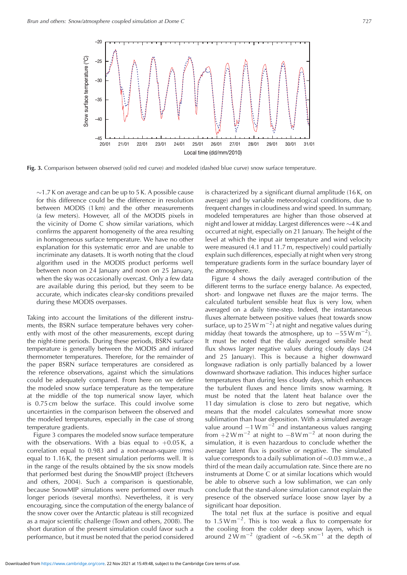

**Fig. 3.** Comparison between observed (solid red curve) and modeled (dashed blue curve) snow surface temperature.

∼1.7 K on average and can be up to 5 K. A possible cause for this difference could be the difference in resolution between MODIS (1 km) and the other measurements (a few meters). However, all of the MODIS pixels in the vicinity of Dome C show similar variations, which confirms the apparent homogeneity of the area resulting in homogeneous surface temperature. We have no other explanation for this systematic error and are unable to incriminate any datasets. It is worth noting that the cloud algorithm used in the MODIS product performs well between noon on 24 January and noon on 25 January, when the sky was occasionally overcast. Only a few data are available during this period, but they seem to be accurate, which indicates clear-sky conditions prevailed during these MODIS overpasses.

Taking into account the limitations of the different instruments, the BSRN surface temperature behaves very coherently with most of the other measurements, except during the night-time periods. During these periods, BSRN surface temperature is generally between the MODIS and infrared thermometer temperatures. Therefore, for the remainder of the paper BSRN surface temperatures are considered as the reference observations, against which the simulations could be adequately compared. From here on we define the modeled snow surface temperature as the temperature at the middle of the top numerical snow layer, which is 0.75 cm below the surface. This could involve some uncertainties in the comparison between the observed and the modeled temperatures, especially in the case of strong temperature gradients.

Figure 3 compares the modeled snow surface temperature with the observations. With a bias equal to  $+0.05$  K, a correlation equal to 0.983 and a root-mean-square (rms) equal to 1.16 K, the present simulation performs well. It is in the range of the results obtained by the six snow models that performed best during the SnowMIP project (Etchevers and others, 2004). Such a comparison is questionable, because SnowMIP simulations were performed over much longer periods (several months). Nevertheless, it is very encouraging, since the computation of the energy balance of the snow cover over the Antarctic plateau is still recognized as a major scientific challenge (Town and others, 2008). The short duration of the present simulation could favor such a performance, but it must be noted that the period considered

is characterized by a significant diurnal amplitude (16 K, on average) and by variable meteorological conditions, due to frequent changes in cloudiness and wind speed. In summary, modeled temperatures are higher than those observed at night and lower at midday. Largest differences were ∼4 K and occurred at night, especially on 21 January. The height of the level at which the input air temperature and wind velocity were measured (4.1 and 11.7 m, respectively) could partially explain such differences, especially at night when very strong temperature gradients form in the surface boundary layer of the atmosphere.

Figure 4 shows the daily averaged contribution of the different terms to the surface energy balance. As expected, short- and longwave net fluxes are the major terms. The calculated turbulent sensible heat flux is very low, when averaged on a daily time-step. Indeed, the instantaneous fluxes alternate between positive values (heat towards snow surface, up to 25 W m<sup>-2</sup>) at night and negative values during midday (heat towards the atmosphere, up to  $-55$  W m<sup>-2</sup>). It must be noted that the daily averaged sensible heat flux shows larger negative values during cloudy days (24 and 25 January). This is because a higher downward longwave radiation is only partially balanced by a lower downward shortwave radiation. This induces higher surface temperatures than during less cloudy days, which enhances the turbulent fluxes and hence limits snow warming. It must be noted that the latent heat balance over the 11 day simulation is close to zero but negative, which means that the model calculates somewhat more snow sublimation than hoar deposition. With a simulated average value around  $-1 \text{ W m}^{-2}$  and instantaneous values ranging from  $+2 \text{ W m}^{-2}$  at night to  $-8 \text{ W m}^{-2}$  at noon during the simulation, it is even hazardous to conclude whether the average latent flux is positive or negative. The simulated value corresponds to a daily sublimation of ∼0.03 mm w.e., a third of the mean daily accumulation rate. Since there are no instruments at Dome C or at similar locations which would be able to observe such a low sublimation, we can only conclude that the stand-alone simulation cannot explain the presence of the observed surface loose snow layer by a significant hoar deposition.

The total net flux at the surface is positive and equal to 1.5 W m<sup>-2</sup>. This is too weak a flux to compensate for the cooling from the colder deep snow layers, which is around 2 W m<sup>-2</sup> (gradient of ~6.5K m<sup>-1</sup> at the depth of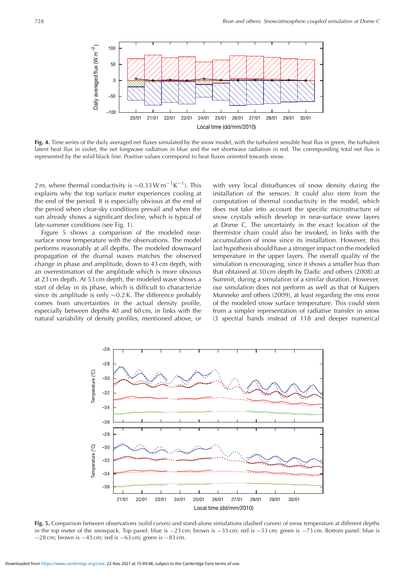

**Fig. 4.** Time series of the daily averaged net fluxes simulated by the snow model, with the turbulent sensible heat flux in green, the turbulent latent heat flux in violet, the net longwave radiation in blue and the net shortwave radiation in red. The corresponding total net flux is represented by the solid black line. Positive values correspond to heat fluxes oriented towards snow.

2 m, where thermal conductivity is ~0.33 W m<sup>-1</sup>K<sup>-1</sup>). This explains why the top surface meter experiences cooling at the end of the period. It is especially obvious at the end of the period when clear-sky conditions prevail and when the sun already shows a significant decline, which is typical of late-summer conditions (see Fig. 1).

Figure 5 shows a comparison of the modeled nearsurface snow temperature with the observations. The model performs reasonably at all depths. The modeled downward propagation of the diurnal waves matches the observed change in phase and amplitude, down to 43 cm depth, with an overestimation of the amplitude which is more obvious at 23 cm depth. At 53 cm depth, the modeled wave shows a start of delay in its phase, which is difficult to characterize since its amplitude is only ∼0.2 K. The difference probably comes from uncertainties in the actual density profile, especially between depths 40 and 60 cm, in links with the natural variability of density profiles, mentioned above, or

with very local disturbances of snow density during the installation of the sensors. It could also stem from the computation of thermal conductivity in the model, which does not take into account the specific microstructure of snow crystals which develop in near-surface snow layers at Dome C. The uncertainty in the exact location of the thermistor chain could also be invoked, in links with the accumulation of snow since its installation. However, this last hypothesis should have a stronger impact on the modeled temperature in the upper layers. The overall quality of the simulation is encouraging, since it shows a smaller bias than that obtained at 30 cm depth by Dadic and others (2008) at Summit, during a simulation of a similar duration. However, our simulation does not perform as well as that of Kuipers Munneke and others (2009), at least regarding the rms error of the modeled snow surface temperature. This could stem from a simpler representation of radiative transfer in snow (3 spectral bands instead of 118 and deeper numerical



**Fig. 5.** Comparison between observations (solid curves) and stand-alone simulations (dashed curves) of snow temperature at different depths in the top meter of the snowpack. Top panel: blue is −23 cm; brown is −33 cm; red is −53 cm; green is −73 cm. Bottom panel: blue is −28 cm; brown is −43 cm; red is −63 cm; green is −83 cm.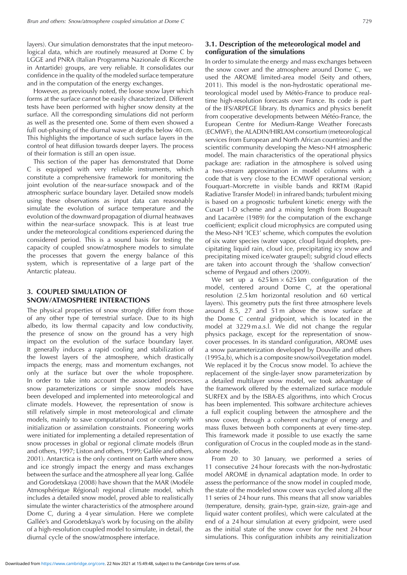layers). Our simulation demonstrates that the input meteorological data, which are routinely measured at Dome C by LGGE and PNRA (Italian Programma Nazionale di Ricerche in Antartide) groups, are very reliable. It consolidates our confidence in the quality of the modeled surface temperature and in the computation of the energy exchanges.

However, as previously noted, the loose snow layer which forms at the surface cannot be easily characterized. Different tests have been performed with higher snow density at the surface. All the corresponding simulations did not perform as well as the presented one. Some of them even showed a full out-phasing of the diurnal wave at depths below 40 cm. This highlights the importance of such surface layers in the control of heat diffusion towards deeper layers. The process of their formation is still an open issue.

This section of the paper has demonstrated that Dome C is equipped with very reliable instruments, which constitute a comprehensive framework for monitoring the joint evolution of the near-surface snowpack and of the atmospheric surface boundary layer. Detailed snow models using these observations as input data can reasonably simulate the evolution of surface temperature and the evolution of the downward propagation of diurnal heatwaves within the near-surface snowpack. This is at least true under the meteorological conditions experienced during the considered period. This is a sound basis for testing the capacity of coupled snow/atmosphere models to simulate the processes that govern the energy balance of this system, which is representative of a large part of the Antarctic plateau.

#### **3. COUPLED SIMULATION OF SNOW/ATMOSPHERE INTERACTIONS**

The physical properties of snow strongly differ from those of any other type of terrestrial surface. Due to its high albedo, its low thermal capacity and low conductivity, the presence of snow on the ground has a very high impact on the evolution of the surface boundary layer. It generally induces a rapid cooling and stabilization of the lowest layers of the atmosphere, which drastically impacts the energy, mass and momentum exchanges, not only at the surface but over the whole troposphere. In order to take into account the associated processes, snow parameterizations or simple snow models have been developed and implemented into meteorological and climate models. However, the representation of snow is still relatively simple in most meteorological and climate models, mainly to save computational cost or comply with initialization or assimilation constraints. Pioneering works were initiated for implementing a detailed representation of snow processes in global or regional climate models (Brun and others, 1997; Liston and others, 1999; Gallée and others, 2001). Antarctica is the only continent on Earth where snow and ice strongly impact the energy and mass exchanges between the surface and the atmosphere all year long. Gallée and Gorodetskaya (2008) have shown that the MAR (Modéle Atmosphérique Régional) regional climate model, which includes a detailed snow model, proved able to realistically simulate the winter characteristics of the atmosphere around Dome C, during a 4 year simulation. Here we complete Gallée's and Gorodetskaya's work by focusing on the ability of a high-resolution coupled model to simulate, in detail, the diurnal cycle of the snow/atmosphere interface.

#### **3.1. Description of the meteorological model and configuration of the simulations**

In order to simulate the energy and mass exchanges between the snow cover and the atmosphere around Dome C, we used the AROME limited-area model (Seity and others, 2011). This model is the non-hydrostatic operational meteorological model used by Météo-France to produce realtime high-resolution forecasts over France. Its code is part of the IFS/ARPEGE library. Its dynamics and physics benefit from cooperative developments between Météo-France, the European Centre for Medium-Range Weather Forecasts (ECMWF), the ALADIN/HIRLAM consortium (meteorological services from European and North African countries) and the scientific community developing the Meso-NH atmospheric model. The main characteristics of the operational physics package are: radiation in the atmosphere is solved using a two-stream approximation in model columns with a code that is very close to the ECMWF operational version; Fouquart–Morcrette in visible bands and RRTM (Rapid Radiative Transfer Model) in infrared bands; turbulent mixing is based on a prognostic turbulent kinetic energy with the Cuxart 1-D scheme and a mixing length from Bougeault and Lacarrère (1989) for the computation of the exchange coefficient; explicit cloud microphysics are computed using the Meso-NH 'ICE3' scheme, which computes the evolution of six water species (water vapor, cloud liquid droplets, precipitating liquid rain, cloud ice, precipitating icy snow and precipitating mixed ice/water graupel); subgrid cloud effects are taken into account through the 'shallow convection' scheme of Pergaud and others (2009).

We set up a  $625 \text{ km} \times 625 \text{ km}$  configuration of the model, centered around Dome C, at the operational resolution (2.5 km horizontal resolution and 60 vertical layers). This geometry puts the first three atmosphere levels around 8.5, 27 and 51 m above the snow surface at the Dome C central gridpoint, which is located in the model at 3229 m a.s.l. We did not change the regular physics package, except for the representation of snowcover processes. In its standard configuration, AROME uses a snow parameterization developed by Douville and others (1995a,b), which is a composite snow/soil/vegetation model. We replaced it by the Crocus snow model. To achieve the replacement of the single-layer snow parameterization by a detailed multilayer snow model, we took advantage of the framework offered by the externalized surface module SURFEX and by the ISBA-ES algorithms, into which Crocus has been implemented. This software architecture achieves a full explicit coupling between the atmosphere and the snow cover, through a coherent exchange of energy and mass fluxes between both components at every time-step. This framework made it possible to use exactly the same configuration of Crocus in the coupled mode as in the standalone mode.

From 20 to 30 January, we performed a series of 11 consecutive 24 hour forecasts with the non-hydrostatic model AROME in dynamical adaptation mode. In order to assess the performance of the snow model in coupled mode, the state of the modeled snow cover was cycled along all the 11 series of 24 hour runs. This means that all snow variables (temperature, density, grain-type, grain-size, grain-age and liquid water content profiles), which were calculated at the end of a 24 hour simulation at every gridpoint, were used as the initial state of the snow cover for the next 24 hour simulations. This configuration inhibits any reinitialization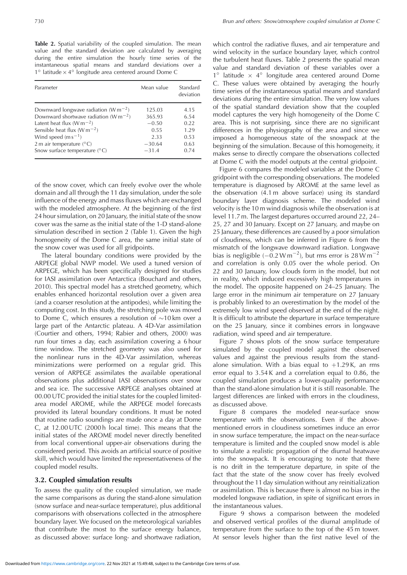**Table 2.** Spatial variability of the coupled simulation. The mean value and the standard deviation are calculated by averaging during the entire simulation the hourly time series of the instantaneous spatial means and standard deviations over a 1◦ latitude × 4◦ longitude area centered around Dome C

| Parameter                                        | Mean value | Standard<br>deviation |
|--------------------------------------------------|------------|-----------------------|
| Downward longwave radiation (W m <sup>-2</sup> ) | 125.03     | 4.15                  |
| Downward shortwave radiation (W $m^{-2}$ )       | 365.93     | 6.54                  |
| Latent heat flux ( $W m^{-2}$ )                  | $-0.50$    | 0.22                  |
| Sensible heat flux ( $W m^{-2}$ )                | 0.55       | 1.29                  |
| Wind speed $(m s^{-1})$                          | 2.33       | 0.53                  |
| 2 m air temperature $(^{\circ}C)$                | $-30.64$   | 0.63                  |
| Snow surface temperature $(^{\circ}C)$           | $-31.4$    | 0.74                  |

of the snow cover, which can freely evolve over the whole domain and all through the 11 day simulation, under the sole influence of the energy and mass fluxes which are exchanged with the modeled atmosphere. At the beginning of the first 24 hour simulation, on 20 January, the initial state of the snow cover was the same as the initial state of the 1-D stand-alone simulation described in section 2 (Table 1). Given the high homogeneity of the Dome C area, the same initial state of the snow cover was used for all gridpoints.

The lateral boundary conditions were provided by the ARPEGE global NWP model. We used a tuned version of ARPEGE, which has been specifically designed for studies for IASI assimilation over Antarctica (Bouchard and others, 2010). This spectral model has a stretched geometry, which enables enhanced horizontal resolution over a given area (and a coarser resolution at the antipodes), while limiting the computing cost. In this study, the stretching pole was moved to Dome C, which ensures a resolution of ∼10 km over a large part of the Antarctic plateau. A 4D-Var assimilation (Courtier and others, 1994; Rabier and others, 2000) was run four times a day, each assimilation covering a 6 hour time window. The stretched geometry was also used for the nonlinear runs in the 4D-Var assimilation, whereas minimizations were performed on a regular grid. This version of ARPEGE assimilates the available operational observations plus additional IASI observations over snow and sea ice. The successive ARPEGE analyses obtained at 00.00 UTC provided the initial states for the coupled limitedarea model AROME, while the ARPEGE model forecasts provided its lateral boundary conditions. It must be noted that routine radio soundings are made once a day at Dome C, at 12.00 UTC (2000 h local time). This means that the initial states of the AROME model never directly benefited from local conventional upper-air observations during the considered period. This avoids an artificial source of positive skill, which would have limited the representativeness of the coupled model results.

#### **3.2. Coupled simulation results**

To assess the quality of the coupled simulation, we made the same comparisons as during the stand-alone simulation (snow surface and near-surface temperature), plus additional comparisons with observations collected in the atmosphere boundary layer. We focused on the meteorological variables that contribute the most to the surface energy balance, as discussed above: surface long- and shortwave radiation,

which control the radiative fluxes, and air temperature and wind velocity in the surface boundary layer, which control the turbulent heat fluxes. Table 2 presents the spatial mean value and standard deviation of these variables over a 1◦ latitude × 4◦ longitude area centered around Dome C. These values were obtained by averaging the hourly time series of the instantaneous spatial means and standard deviations during the entire simulation. The very low values of the spatial standard deviation show that the coupled model captures the very high homogeneity of the Dome C area. This is not surprising, since there are no significant differences in the physiography of the area and since we imposed a homogeneous state of the snowpack at the beginning of the simulation. Because of this homogeneity, it makes sense to directly compare the observations collected at Dome C with the model outputs at the central gridpoint.

Figure 6 compares the modeled variables at the Dome C gridpoint with the corresponding observations. The modeled temperature is diagnosed by AROME at the same level as the observation (4.1 m above surface) using its standard boundary layer diagnosis scheme. The modeled wind velocity is the 10 m wind diagnosis while the observation is at level 11.7 m. The largest departures occurred around 22, 24– 25, 27 and 30 January. Except on 27 January, and maybe on 25 January, these differences are caused by a poor simulation of cloudiness, which can be inferred in Figure 6 from the mismatch of the longwave downward radiation. Longwave bias is negligible  $(-0.2 W m^{-2})$ , but rms error is 28 W m<sup>-2</sup> and correlation is only 0.05 over the whole period. On 22 and 30 January, low clouds form in the model, but not in reality, which induced excessively high temperatures in the model. The opposite happened on 24–25 January. The large error in the minimum air temperature on 27 January is probably linked to an overestimation by the model of the extremely low wind speed observed at the end of the night. It is difficult to attribute the departure in surface temperature on the 25 January, since it combines errors in longwave radiation, wind speed and air temperature.

Figure 7 shows plots of the snow surface temperature simulated by the coupled model against the observed values and against the previous results from the standalone simulation. With a bias equal to  $+1.29$  K, an rms error equal to 3.54 K and a correlation equal to 0.86, the coupled simulation produces a lower-quality performance than the stand-alone simulation but it is still reasonable. The largest differences are linked with errors in the cloudiness, as discussed above.

Figure 8 compares the modeled near-surface snow temperature with the observations. Even if the abovementioned errors in cloudiness sometimes induce an error in snow surface temperature, the impact on the near-surface temperature is limited and the coupled snow model is able to simulate a realistic propagation of the diurnal heatwave into the snowpack. It is encouraging to note that there is no drift in the temperature departure, in spite of the fact that the state of the snow cover has freely evolved throughout the 11 day simulation without any reinitialization or assimilation. This is because there is almost no bias in the modeled longwave radiation, in spite of significant errors in the instantaneous values.

Figure 9 shows a comparison between the modeled and observed vertical profiles of the diurnal amplitude of temperature from the surface to the top of the 45 m tower. At sensor levels higher than the first native level of the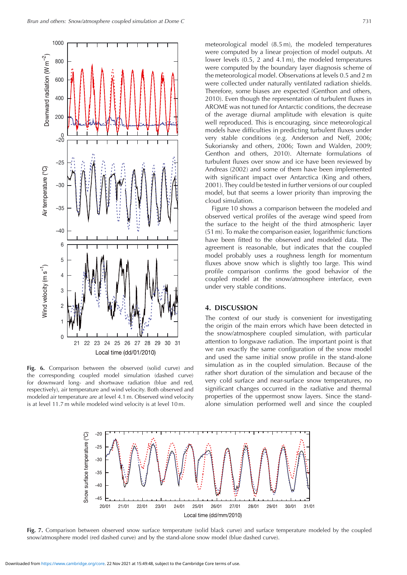

**Fig. 6.** Comparison between the observed (solid curve) and the corresponding coupled model simulation (dashed curve) for downward long- and shortwave radiation (blue and red, respectively), air temperature and wind velocity. Both observed and modeled air temperature are at level 4.1 m. Observed wind velocity is at level 11.7 m while modeled wind velocity is at level 10 m.

meteorological model (8.5 m), the modeled temperatures were computed by a linear projection of model outputs. At lower levels (0.5, 2 and 4.1 m), the modeled temperatures were computed by the boundary layer diagnosis scheme of the meteorological model. Observations at levels 0.5 and 2 m were collected under naturally ventilated radiation shields. Therefore, some biases are expected (Genthon and others, 2010). Even though the representation of turbulent fluxes in AROME was not tuned for Antarctic conditions, the decrease of the average diurnal amplitude with elevation is quite well reproduced. This is encouraging, since meteorological models have difficulties in predicting turbulent fluxes under very stable conditions (e.g. Anderson and Neff, 2006; Sukoriansky and others, 2006; Town and Walden, 2009; Genthon and others, 2010). Alternate formulations of turbulent fluxes over snow and ice have been reviewed by Andreas (2002) and some of them have been implemented with significant impact over Antarctica (King and others, 2001). They could be tested in further versions of our coupled model, but that seems a lower priority than improving the cloud simulation.

Figure 10 shows a comparison between the modeled and observed vertical profiles of the average wind speed from the surface to the height of the third atmospheric layer (51 m). To make the comparison easier, logarithmic functions have been fitted to the observed and modeled data. The agreement is reasonable, but indicates that the coupled model probably uses a roughness length for momentum fluxes above snow which is slightly too large. This wind profile comparison confirms the good behavior of the coupled model at the snow/atmosphere interface, even under very stable conditions.

#### **4. DISCUSSION**

The context of our study is convenient for investigating the origin of the main errors which have been detected in the snow/atmosphere coupled simulation, with particular attention to longwave radiation. The important point is that we ran exactly the same configuration of the snow model and used the same initial snow profile in the stand-alone simulation as in the coupled simulation. Because of the rather short duration of the simulation and because of the very cold surface and near-surface snow temperatures, no significant changes occurred in the radiative and thermal properties of the uppermost snow layers. Since the standalone simulation performed well and since the coupled



**Fig. 7.** Comparison between observed snow surface temperature (solid black curve) and surface temperature modeled by the coupled snow/atmosphere model (red dashed curve) and by the stand-alone snow model (blue dashed curve).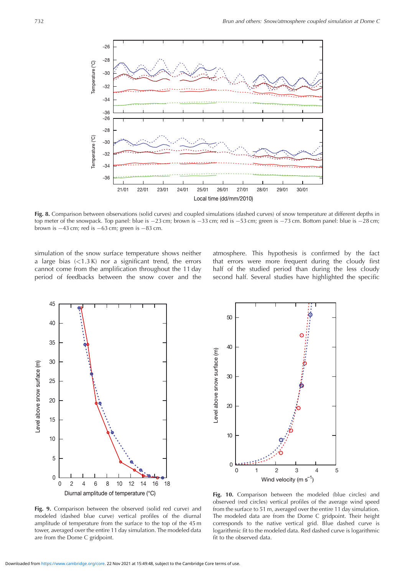

**Fig. 8.** Comparison between observations (solid curves) and coupled simulations (dashed curves) of snow temperature at different depths in top meter of the snowpack. Top panel: blue is −23 cm; brown is −33 cm; red is −53 cm; green is −73 cm. Bottom panel: blue is −28 cm; brown is −43 cm; red is −63 cm; green is −83 cm.

simulation of the snow surface temperature shows neither a large bias  $\left($ <1.3 K) nor a significant trend, the errors cannot come from the amplification throughout the 11 day period of feedbacks between the snow cover and the

atmosphere. This hypothesis is confirmed by the fact that errors were more frequent during the cloudy first half of the studied period than during the less cloudy second half. Several studies have highlighted the specific





**Fig. 9.** Comparison between the observed (solid red curve) and modeled (dashed blue curve) vertical profiles of the diurnal amplitude of temperature from the surface to the top of the 45 m tower, averaged over the entire 11 day simulation. The modeled data are from the Dome C gridpoint.

**Fig. 10.** Comparison between the modeled (blue circles) and observed (red circles) vertical profiles of the average wind speed from the surface to 51 m, averaged over the entire 11 day simulation. The modeled data are from the Dome C gridpoint. Their height corresponds to the native vertical grid. Blue dashed curve is logarithmic fit to the modeled data. Red dashed curve is logarithmic fit to the observed data.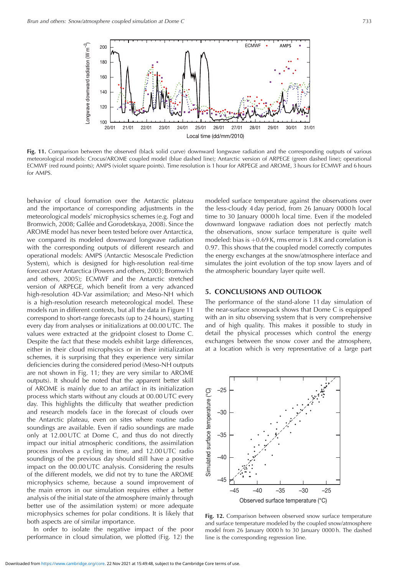

**Fig. 11.** Comparison between the observed (black solid curve) downward longwave radiation and the corresponding outputs of various meteorological models: Crocus/AROME coupled model (blue dashed line); Antarctic version of ARPEGE (green dashed line); operational ECMWF (red round points); AMPS (violet square points). Time resolution is 1 hour for ARPEGE and AROME, 3 hours for ECMWF and 6 hours for AMPS.

behavior of cloud formation over the Antarctic plateau and the importance of corresponding adjustments in the meteorological models' microphysics schemes (e.g. Fogt and Bromwich, 2008; Gallée and Gorodetskaya, 2008). Since the AROME model has never been tested before over Antarctica, we compared its modeled downward longwave radiation with the corresponding outputs of different research and operational models: AMPS (Antarctic Mesoscale Prediction System), which is designed for high-resolution real-time forecast over Antarctica (Powers and others, 2003; Bromwich and others, 2005); ECMWF and the Antarctic stretched version of ARPEGE, which benefit from a very advanced high-resolution 4D-Var assimilation; and Meso-NH which is a high-resolution research meteorological model. These models run in different contexts, but all the data in Figure 11 correspond to short-range forecasts (up to 24 hours), starting every day from analyses or initializations at 00.00 UTC. The values were extracted at the gridpoint closest to Dome C. Despite the fact that these models exhibit large differences, either in their cloud microphysics or in their initialization schemes, it is surprising that they experience very similar deficiencies during the considered period (Meso-NH outputs are not shown in Fig. 11; they are very similar to AROME outputs). It should be noted that the apparent better skill of AROME is mainly due to an artifact in its initialization process which starts without any clouds at 00.00 UTC every day. This highlights the difficulty that weather prediction and research models face in the forecast of clouds over the Antarctic plateau, even on sites where routine radio soundings are available. Even if radio soundings are made only at 12.00 UTC at Dome C, and thus do not directly impact our initial atmospheric conditions, the assimilation process involves a cycling in time, and 12.00 UTC radio soundings of the previous day should still have a positive impact on the 00.00 UTC analysis. Considering the results of the different models, we did not try to tune the AROME microphysics scheme, because a sound improvement of the main errors in our simulation requires either a better analysis of the initial state of the atmosphere (mainly through better use of the assimilation system) or more adequate microphysics schemes for polar conditions. It is likely that both aspects are of similar importance.

In order to isolate the negative impact of the poor performance in cloud simulation, we plotted (Fig. 12) the modeled surface temperature against the observations over the less-cloudy 4 day period, from 26 January 0000 h local time to 30 January 0000 h local time. Even if the modeled downward longwave radiation does not perfectly match the observations, snow surface temperature is quite well modeled: bias is +0.69 K, rms error is 1.8 K and correlation is 0.97. This shows that the coupled model correctly computes the energy exchanges at the snow/atmosphere interface and simulates the joint evolution of the top snow layers and of the atmospheric boundary layer quite well.

#### **5. CONCLUSIONS AND OUTLOOK**

The performance of the stand-alone 11 day simulation of the near-surface snowpack shows that Dome C is equipped with an in situ observing system that is very comprehensive and of high quality. This makes it possible to study in detail the physical processes which control the energy exchanges between the snow cover and the atmosphere, at a location which is very representative of a large part



**Fig. 12.** Comparison between observed snow surface temperature and surface temperature modeled by the coupled snow/atmosphere model from 26 January 0000 h to 30 January 0000 h. The dashed line is the corresponding regression line.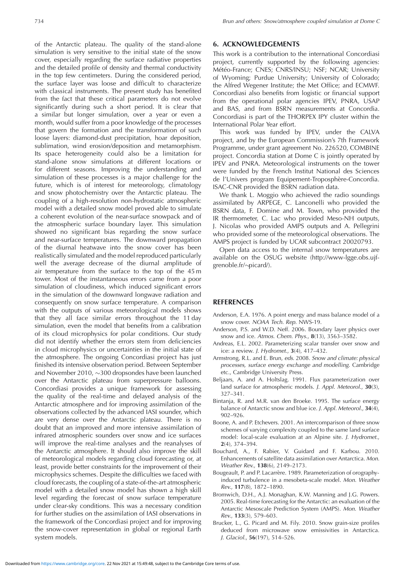of the Antarctic plateau. The quality of the stand-alone simulation is very sensitive to the initial state of the snow cover, especially regarding the surface radiative properties and the detailed profile of density and thermal conductivity in the top few centimeters. During the considered period, the surface layer was loose and difficult to characterize with classical instruments. The present study has benefited from the fact that these critical parameters do not evolve significantly during such a short period. It is clear that a similar but longer simulation, over a year or even a month, would suffer from a poor knowledge of the processes that govern the formation and the transformation of such loose layers: diamond-dust precipitation, hoar deposition, sublimation, wind erosion/deposition and metamorphism. Its space heterogeneity could also be a limitation for stand-alone snow simulations at different locations or for different seasons. Improving the understanding and simulation of these processes is a major challenge for the future, which is of interest for meteorology, climatology and snow photochemistry over the Antarctic plateau. The coupling of a high-resolution non-hydrostatic atmospheric model with a detailed snow model proved able to simulate a coherent evolution of the near-surface snowpack and of the atmospheric surface boundary layer. This simulation showed no significant bias regarding the snow surface and near-surface temperatures. The downward propagation of the diurnal heatwave into the snow cover has been realistically simulated and the model reproduced particularly well the average decrease of the diurnal amplitude of air temperature from the surface to the top of the 45 m tower. Most of the instantaneous errors came from a poor simulation of cloudiness, which induced significant errors in the simulation of the downward longwave radiation and consequently on snow surface temperature. A comparison with the outputs of various meteorological models shows that they all face similar errors throughout the 11 day simulation, even the model that benefits from a calibration of its cloud microphysics for polar conditions. Our study did not identify whether the errors stem from deficiencies in cloud microphysics or uncertainties in the initial state of the atmosphere. The ongoing Concordiasi project has just finished its intensive observation period. Between September and November 2010, ∼300 dropsondes have been launched over the Antarctic plateau from superpressure balloons. Concordiasi provides a unique framework for assessing the quality of the real-time and delayed analysis of the Antarctic atmosphere and for improving assimilation of the observations collected by the advanced IASI sounder, which are very dense over the Antarctic plateau. There is no doubt that an improved and more intensive assimilation of infrared atmospheric sounders over snow and ice surfaces will improve the real-time analyses and the reanalyses of the Antarctic atmosphere. It should also improve the skill of meteorological models regarding cloud forecasting or, at least, provide better constraints for the improvement of their microphysics schemes. Despite the difficulties we faced with cloud forecasts, the coupling of a state-of-the-art atmospheric model with a detailed snow model has shown a high skill level regarding the forecast of snow surface temperature under clear-sky conditions. This was a necessary condition for further studies on the assimilation of IASI observations in the framework of the Concordiasi project and for improving the snow-cover representation in global or regional Earth system models.

#### **6. ACKNOWLEDGEMENTS**

This work is a contribution to the international Concordiasi project, currently supported by the following agencies: Météo-France; CNES; CNRS/INSU; NSF; NCAR; University of Wyoming; Purdue University; University of Colorado; the Alfred Wegener Institute; the Met Office; and ECMWF. Concordiasi also benefits from logistic or financial support from the operational polar agencies IPEV, PNRA, USAP and BAS, and from BSRN measurements at Concordia. Concordiasi is part of the THORPEX IPY cluster within the International Polar Year effort.

This work was funded by IPEV, under the CALVA project, and by the European Commission's 7th Framework Programme, under grant agreement No. 226520, COMBINE project. Concordia station at Dome C is jointly operated by IPEV and PNRA. Meteorological instruments on the tower were funded by the French Institut National des Sciences de l'Univers program Equipement-Troposphère-Concordia. ISAC-CNR provided the BSRN radiation data.

We thank L. Moggio who achieved the radio soundings assimilated by ARPEGE, C. Lanconelli who provided the BSRN data, F. Domine and M. Town, who provided the IR thermometer, C. Lac who provided Meso-NH outputs, J. Nicolas who provided AMPS outputs and A. Pellegrini who provided some of the meteorological observations. The AMPS project is funded by UCAR subcontract 20020793.

Open data access to the internal snow temperatures are available on the OSUG website (http://www-lgge.obs.ujfgrenoble.fr/∼picard/).

#### **REFERENCES**

- Anderson, E.A. 1976. A point energy and mass balance model of a snow cover. NOAA Tech. Rep. NWS-19.
- Anderson, P.S. and W.D. Neff. 2006. Boundary layer physics over snow and ice. Atmos. Chem. Phys., **8**(13), 3563–3582.
- Andreas, E.L. 2002. Parameterizing scalar transfer over snow and ice: a review. J. Hydromet., **3**(4), 417–432.
- Armstrong, R.L. and E. Brun, eds. 2008. Snow and climate: physical processes, surface energy exchange and modelling. Cambridge etc., Cambridge University Press.
- Beljaars, A. and A. Holtslag. 1991. Flux parameterization over land surface for atmospheric models. J. Appl. Meteorol., **30**(3), 327–341.
- Bintanja, R. and M.R. van den Broeke. 1995. The surface energy balance of Antarctic snow and blue ice. J. Appl. Meteorol., **34**(4), 902–926.
- Boone, A. and P. Etchevers. 2001. An intercomparison of three snow schemes of varying complexity coupled to the same land surface model: local-scale evaluation at an Alpine site. J. Hydromet., **2**(4), 374–394.
- Bouchard, A., F. Rabier, V. Guidard and F. Karbou. 2010. Enhancements of satellite data assimilation over Antarctica. Mon. Weather Rev., **138**(6), 2149–2173.
- Bougeault, P. and P. Lacarrère. 1989. Parameterization of orographyinduced turbulence in a mesobeta-scale model. Mon. Weather Rev., **117**(8), 1872–1890.
- Bromwich, D.H., A.J. Monaghan, K.W. Manning and J.G. Powers. 2005. Real-time forecasting for the Antarctic: an evaluation of the Antarctic Mesoscale Prediction System (AMPS). Mon. Weather Rev., **133**(3), 579–603.
- Brucker, L., G. Picard and M. Fily. 2010. Snow grain-size profiles deduced from microwave snow emissivities in Antarctica. J. Glaciol., **56**(197), 514–526.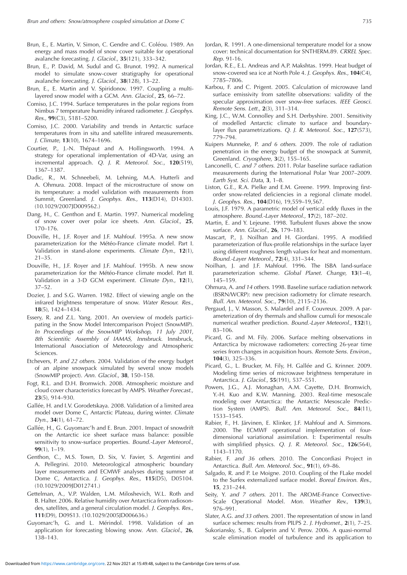- Brun, E., E. Martin, V. Simon, C. Gendre and C. Coléou. 1989. An energy and mass model of snow cover suitable for operational avalanche forecasting. J. Glaciol., **35**(121), 333–342.
- Brun, E., P. David, M. Sudul and G. Brunot. 1992. A numerical model to simulate snow-cover stratigraphy for operational avalanche forecasting. J. Glaciol., **38**(128), 13–22.
- Brun, E., E. Martin and V. Spiridonov. 1997. Coupling a multilayered snow model with a GCM. Ann. Glaciol., **25**, 66–72.
- Comiso, J.C. 1994. Surface temperatures in the polar regions from Nimbus 7 temperature humidity infrared radiometer. J. Geophys. Res., **99**(C3), 5181–5200.
- Comiso, J.C. 2000. Variability and trends in Antarctic surface temperatures from in situ and satellite infrared measurements. J. Climate, **13**(10), 1674–1696.
- Courtier, P., J.-N. Thépaut and A. Hollingsworth. 1994. A strategy for operational implementation of 4D-Var, using an incremental approach. Q. J. R. Meteorol. Soc., **120**(519), 1367–1387.
- Dadic, R., M. Schneebeli, M. Lehning, M.A. Hutterli and A. Ohmura. 2008. Impact of the microstructure of snow on its temperature: a model validation with measurements from Summit, Greenland. J. Geophys. Res., **113**(D14), D14303. (10.1029/2007JD009562.)
- Dang, H., C. Genthon and E. Martin. 1997. Numerical modeling of snow cover over polar ice sheets. Ann. Glaciol., **25**, 170–176.
- Douville, H., J.F. Royer and J.F. Mahfouf. 1995a. A new snow parameterization for the Météo-France climate model. Part I. Validation in stand-alone experiments. Climate Dyn., **12**(1), 21–35.
- Douville, H., J.F. Royer and J.F. Mahfouf. 1995b. A new snow parameterization for the Météo-France climate model. Part II. Validation in a 3-D GCM experiment. Climate Dyn., **12**(1), 37–52.
- Dozier, J. and S.G. Warren. 1982. Effect of viewing angle on the infrared brightness temperature of snow. Water Resour. Res., **18**(5), 1424–1434.
- Essery, R. and Z.L. Yang. 2001. An overview of models participating in the Snow Model Intercomparison Project (SnowMIP). In Proceedings of the SnowMIP Workshop, 11 July 2001, 8th Scientific Assembly of IAMAS, Innsbruck. Innsbruck, International Association of Meteorology and Atmospheric Sciences.
- Etchevers, P. and 22 others. 2004. Validation of the energy budget of an alpine snowpack simulated by several snow models (SnowMIP project). Ann. Glaciol., **38**, 150–158.
- Fogt, R.L. and D.H. Bromwich. 2008. Atmospheric moisture and cloud cover characteristics forecast by AMPS. Weather Forecast., **23**(5), 914–930.
- Gallée, H. and I.V. Gorodetskaya. 2008. Validation of a limited area model over Dome C, Antarctic Plateau, during winter. Climate Dyn., **34**(1), 61–72.
- Gallée, H., G. Guvomarc'h and E. Brun. 2001. Impact of snowdrift on the Antarctic ice sheet surface mass balance: possible sensitivity to snow-surface properties. Bound.-Layer Meteorol., **99**(1), 1–19.
- Genthon, C., M.S. Town, D. Six, V. Favier, S. Argentini and A. Pellegrini. 2010. Meteorological atmospheric boundary layer measurements and ECMWF analyses during summer at Dome C, Antarctica. J. Geophys. Res., **115**(D5), D05104. (10.1029/2009JD012741.)
- Gettelman, A., V.P. Walden, L.M. Miloshevich, W.L. Roth and B. Halter. 2006. Relative humidity over Antarctica from radiosondes, satellites, and a general circulation model. J. Geophys. Res., **111**(D9), D09S13. (10.1029/2005JD006636.)
- Guyomarc'h, G. and L. Mérindol. 1998. Validation of an application for forecasting blowing snow. Ann. Glaciol., **26**, 138–143.
- Jordan, R. 1991. A one-dimensional temperature model for a snow cover: technical documentation for SNTHERM.89. CRREL Spec. Rep. 91-16.
- Jordan, R.E., E.L. Andreas and A.P. Makshtas. 1999. Heat budget of snow-covered sea ice at North Pole 4. J. Geophys. Res., **104**(C4), 7785–7806.
- Karbou, F. and C. Prigent. 2005. Calculation of microwave land surface emissivity from satellite observations: validity of the specular approximation over snow-free surfaces. IEEE Geosci. Remote Sens. Lett., **2**(3), 311–314.
- King, J.C., W.M. Connolley and S.H. Derbyshire. 2001. Sensitivity of modelled Antarctic climate to surface and boundarylayer flux parametrizations. Q. J. R. Meteorol. Soc., **127**(573), 779–794.
- Kuipers Munneke, P. and 6 others. 2009. The role of radiation penetration in the energy budget of the snowpack at Summit, Greenland. Cryosphere, **3**(2), 155–165.
- Lanconelli, C. and 7 others. 2011. Polar baseline surface radiation measurements during the International Polar Year 2007–2009. Earth Syst. Sci. Data, **3**, 1–8.
- Liston, G.E., R.A. Pielke and E.M. Greene. 1999. Improving firstorder snow-related deficiencies in a regional climate model. J. Geophys. Res., **104**(D16), 19,559–19,567.
- Louis, J.F. 1979. A parametric model of vertical eddy fluxes in the atmosphere. Bound.-Layer Meteorol., **17**(2), 187–202.
- Martin, E. and Y. Lejeune. 1998. Turbulent fluxes above the snow surface. Ann. Glaciol., **26**, 179–183.
- Mascart, P., J. Noilhan and H. Giordani. 1995. A modified parameterization of flux-profile relationships in the surface layer using different roughness length values for heat and momentum. Bound.-Layer Meteorol., **72**(4), 331–344.
- Noilhan, J. and J.F. Mahfouf. 1996. The ISBA land-surface parameterization scheme. Global Planet. Change, **13**(1–4), 145–159.
- Ohmura, A. and 14 others. 1998. Baseline surface radiation network (BSRN/WCRP): new precision radiometry for climate research. Bull. Am. Meteorol. Soc., **79**(10), 2115–2136.
- Pergaud, J., V. Masson, S. Malardel and F. Couvreux. 2009. A parameterization of dry thermals and shallow cumuli for mesoscale numerical weather prediction. Bound.-Layer Meteorol., **132**(1), 83–106.
- Picard, G. and M. Fily. 2006. Surface melting observations in Antarctica by microwave radiometers: correcting 26-year time series from changes in acquisition hours. Remote Sens. Environ., **104**(3), 325–336.
- Picard, G., L. Brucker, M. Fily, H. Gallée and G. Krinner. 2009. Modeling time series of microwave brightness temperature in Antarctica. J. Glaciol., **55**(191), 537–551.
- Powers, J.G., A.J. Monaghan, A.M. Cayette, D.H. Bromwich, Y.-H. Kuo and K.W. Manning. 2003. Real-time mesoscale modeling over Antarctica: the Antarctic Mesoscale Prediction System (AMPS). Bull. Am. Meteorol. Soc., **84**(11), 1533–1545.
- Rabier, F., H. Järvinen, E. Klinker, J.F. Mahfouf and A. Simmons. 2000. The ECMWF operational implementation of fourdimensional variational assimilation. I: Experimental results with simplified physics. Q. J. R. Meteorol. Soc., **126**(564), 1143–1170.
- Rabier, F. and 36 others. 2010. The Concordiasi Project in Antarctica. Bull. Am. Meteorol. Soc., **91**(1), 69–86.
- Salgado, R. and P. Le Moigne. 2010. Coupling of the FLake model to the Surfex externalized surface model. Boreal Environ. Res., **15**, 231–244.
- Seity, Y. and 7 others. 2011. The AROME-France Convective-Scale Operational Model. Mon. Weather Rev., **139**(3), 976–991.
- Slater, A.G. and 33 others. 2001. The representation of snow in land surface schemes: results from PILPS 2. J. Hydromet., **2**(1), 7–25.
- Sukoriansky, S., B. Galperin and V. Perov. 2006. A quasi-normal scale elimination model of turbulence and its application to